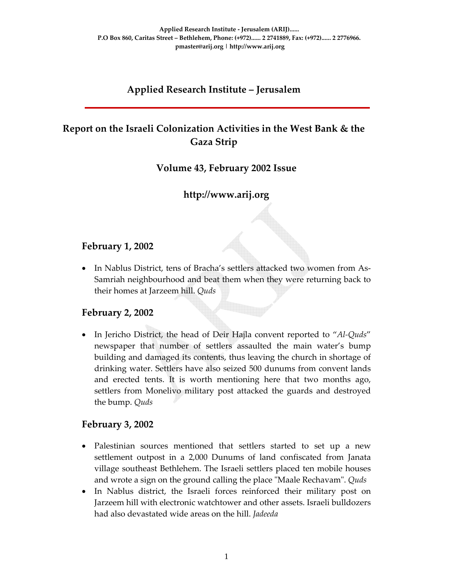## **Applied Research Institute – Jerusalem**

# **Report on the Israeli Colonization Activities in the West Bank & the Gaza Strip**

### **Volume 43, February 2002 Issue**

# **http://www.arij.org**

### **February 1, 2002**

• In Nablus District, tens of Bracha's settlers attacked two women from As-Samriah neighbourhood and beat them when they were returning back to their homes at Jarzeem hill. *Quds*

### **February 2, 2002**

• In Jericho District, the head of Deir Hajla convent reported to "*Al‐Quds*" newspaper that number of settlers assaulted the main water's bump building and damaged its contents, thus leaving the church in shortage of drinking water. Settlers have also seized 500 dunums from convent lands and erected tents. It is worth mentioning here that two months ago, settlers from Monelivo military post attacked the guards and destroyed the bump. *Quds*

#### **February 3, 2002**

- Palestinian sources mentioned that settlers started to set up a new settlement outpost in a 2,000 Dunums of land confiscated from Janata village southeast Bethlehem. The Israeli settlers placed ten mobile houses and wrote a sign on the ground calling the place "Maale Rechavam". *Quds*
- In Nablus district, the Israeli forces reinforced their military post on Jarzeem hill with electronic watchtower and other assets. Israeli bulldozers had also devastated wide areas on the hill. *Jadeeda*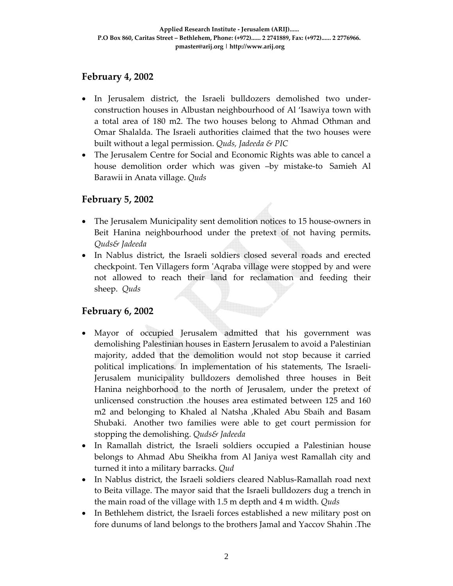## **February 4, 2002**

- In Jerusalem district, the Israeli bulldozers demolished two under‐ construction houses in Albustan neighbourhood of Al 'Isawiya town with a total area of 180 m2. The two houses belong to Ahmad Othman and Omar Shalalda. The Israeli authorities claimed that the two houses were built without a legal permission. *Quds, Jadeeda & PIC*
- The Jerusalem Centre for Social and Economic Rights was able to cancel a house demolition order which was given -by mistake-to Samieh Al Barawii in Anata village. *Quds*

### **February 5, 2002**

- The Jerusalem Municipality sent demolition notices to 15 house-owners in Beit Hanina neighbourhood under the pretext of not having permits*. Quds& Jadeeda*
- In Nablus district, the Israeli soldiers closed several roads and erected checkpoint. Ten Villagers form ʹAqraba village were stopped by and were not allowed to reach their land for reclamation and feeding their sheep. *Quds*

### **February 6, 2002**

- Mayor of occupied Jerusalem admitted that his government was demolishing Palestinian houses in Eastern Jerusalem to avoid a Palestinian majority, added that the demolition would not stop because it carried political implications. In implementation of his statements, The Israeli‐ Jerusalem municipality bulldozers demolished three houses in Beit Hanina neighborhood to the north of Jerusalem, under the pretext of unlicensed construction .the houses area estimated between 125 and 160 m2 and belonging to Khaled al Natsha ,Khaled Abu Sbaih and Basam Shubaki. Another two families were able to get court permission for stopping the demolishing. *Quds& Jadeeda*
- In Ramallah district, the Israeli soldiers occupied a Palestinian house belongs to Ahmad Abu Sheikha from Al Janiya west Ramallah city and turned it into a military barracks. *Qud*
- In Nablus district, the Israeli soldiers cleared Nablus-Ramallah road next to Beita village. The mayor said that the Israeli bulldozers dug a trench in the main road of the village with 1.5 m depth and 4 m width. *Quds*
- In Bethlehem district, the Israeli forces established a new military post on fore dunums of land belongs to the brothers Jamal and Yaccov Shahin .The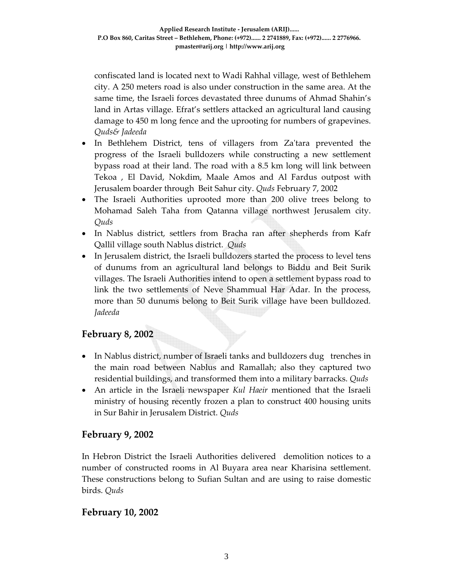confiscated land is located next to Wadi Rahhal village, west of Bethlehem city. A 250 meters road is also under construction in the same area. At the same time, the Israeli forces devastated three dunums of Ahmad Shahin's land in Artas village. Efrat's settlers attacked an agricultural land causing damage to 450 m long fence and the uprooting for numbers of grapevines. *Quds& Jadeeda*

- In Bethlehem District, tens of villagers from Za'tara prevented the progress of the Israeli bulldozers while constructing a new settlement bypass road at their land. The road with a 8.5 km long will link between Tekoa , El David, Nokdim, Maale Amos and Al Fardus outpost with Jerusalem boarder through Beit Sahur city. *Quds* February 7, 2002
- The Israeli Authorities uprooted more than 200 olive trees belong to Mohamad Saleh Taha from Qatanna village northwest Jerusalem city. *Quds*
- In Nablus district, settlers from Bracha ran after shepherds from Kafr Qallil village south Nablus district. *Quds*
- In Jerusalem district, the Israeli bulldozers started the process to level tens of dunums from an agricultural land belongs to Biddu and Beit Surik villages. The Israeli Authorities intend to open a settlement bypass road to link the two settlements of Neve Shammual Har Adar. In the process, more than 50 dunums belong to Beit Surik village have been bulldozed*. Jadeeda*

# **February 8, 2002**

- In Nablus district, number of Israeli tanks and bulldozers dug trenches in the main road between Nablus and Ramallah; also they captured two residential buildings, and transformed them into a military barracks. *Quds*
- An article in the Israeli newspaper *Kul Haeir* mentioned that the Israeli ministry of housing recently frozen a plan to construct 400 housing units in Sur Bahir in Jerusalem District. *Quds*

### **February 9, 2002**

In Hebron District the Israeli Authorities delivered demolition notices to a number of constructed rooms in Al Buyara area near Kharisina settlement. These constructions belong to Sufian Sultan and are using to raise domestic birds. *Quds*

### **February 10, 2002**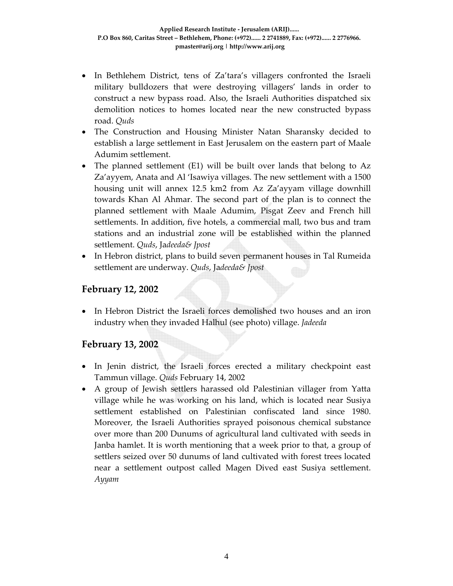- In Bethlehem District, tens of Za'tara's villagers confronted the Israeli military bulldozers that were destroying villagers' lands in order to construct a new bypass road. Also, the Israeli Authorities dispatched six demolition notices to homes located near the new constructed bypass road. *Quds*
- The Construction and Housing Minister Natan Sharansky decided to establish a large settlement in East Jerusalem on the eastern part of Maale Adumim settlement.
- The planned settlement (E1) will be built over lands that belong to Az Za'ayyem, Anata and Al 'Isawiya villages. The new settlement with a 1500 housing unit will annex 12.5 km2 from Az Za'ayyam village downhill towards Khan Al Ahmar. The second part of the plan is to connect the planned settlement with Maale Adumim, Pisgat Zeev and French hill settlements. In addition, five hotels, a commercial mall, two bus and tram stations and an industrial zone will be established within the planned settlement. *Quds*, Ja*deeda& Jpost*
- In Hebron district, plans to build seven permanent houses in Tal Rumeida settlement are underway. *Quds*, Ja*deeda& Jpost*

### **February 12, 2002**

• In Hebron District the Israeli forces demolished two houses and an iron industry when they invaded Halhul (see photo) village. *Jadeeda*

#### **February 13, 2002**

- In Jenin district, the Israeli forces erected a military checkpoint east Tammun village. *Quds* February 14, 2002
- A group of Jewish settlers harassed old Palestinian villager from Yatta village while he was working on his land, which is located near Susiya settlement established on Palestinian confiscated land since 1980. Moreover, the Israeli Authorities sprayed poisonous chemical substance over more than 200 Dunums of agricultural land cultivated with seeds in Janba hamlet. It is worth mentioning that a week prior to that, a group of settlers seized over 50 dunums of land cultivated with forest trees located near a settlement outpost called Magen Dived east Susiya settlement. *Ayyam*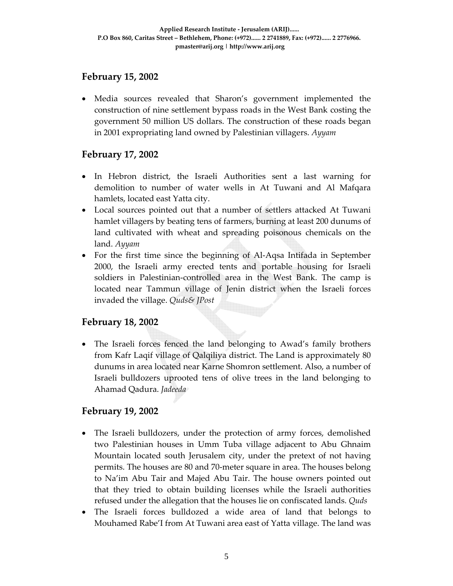### **February 15, 2002**

• Media sources revealed that Sharon's government implemented the construction of nine settlement bypass roads in the West Bank costing the government 50 million US dollars. The construction of these roads began in 2001 expropriating land owned by Palestinian villagers. *Ayyam*

#### **February 17, 2002**

- In Hebron district, the Israeli Authorities sent a last warning for demolition to number of water wells in At Tuwani and Al Mafqara hamlets, located east Yatta city.
- Local sources pointed out that a number of settlers attacked At Tuwani hamlet villagers by beating tens of farmers, burning at least 200 dunums of land cultivated with wheat and spreading poisonous chemicals on the land. *Ayyam*
- For the first time since the beginning of Al-Aqsa Intifada in September 2000, the Israeli army erected tents and portable housing for Israeli soldiers in Palestinian-controlled area in the West Bank. The camp is located near Tammun village of Jenin district when the Israeli forces invaded the village. *Quds& JPost*

### **February 18, 2002**

• The Israeli forces fenced the land belonging to Awad's family brothers from Kafr Laqif village of Qalqiliya district. The Land is approximately 80 dunums in area located near Karne Shomron settlement. Also, a number of Israeli bulldozers uprooted tens of olive trees in the land belonging to Ahamad Qadura. *Jadeeda*

#### **February 19, 2002**

- The Israeli bulldozers, under the protection of army forces, demolished two Palestinian houses in Umm Tuba village adjacent to Abu Ghnaim Mountain located south Jerusalem city, under the pretext of not having permits. The houses are 80 and 70‐meter square in area. The houses belong to Na'im Abu Tair and Majed Abu Tair. The house owners pointed out that they tried to obtain building licenses while the Israeli authorities refused under the allegation that the houses lie on confiscated lands. *Quds*
- The Israeli forces bulldozed a wide area of land that belongs to Mouhamed Rabe'I from At Tuwani area east of Yatta village. The land was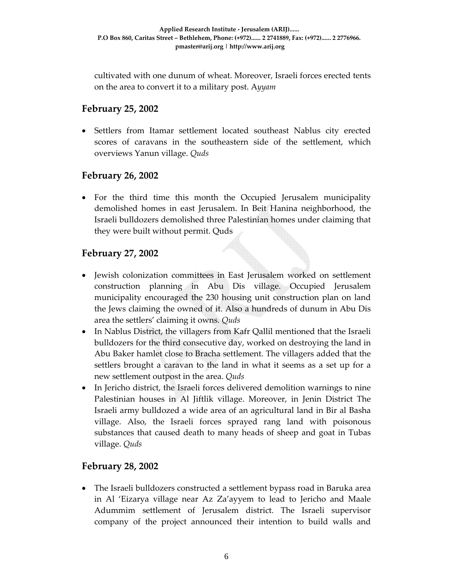cultivated with one dunum of wheat. Moreover, Israeli forces erected tents on the area to convert it to a military post. A*yyam*

## **February 25, 2002**

• Settlers from Itamar settlement located southeast Nablus city erected scores of caravans in the southeastern side of the settlement, which overviews Yanun village. *Quds*

### **February 26, 2002**

• For the third time this month the Occupied Jerusalem municipality demolished homes in east Jerusalem. In Beit Hanina neighborhood, the Israeli bulldozers demolished three Palestinian homes under claiming that they were built without permit. Quds

#### **February 27, 2002**

- Jewish colonization committees in East Jerusalem worked on settlement construction planning in Abu Dis village. Occupied Jerusalem municipality encouraged the 230 housing unit construction plan on land the Jews claiming the owned of it. Also a hundreds of dunum in Abu Dis area the settlers' claiming it owns*. Quds*
- In Nablus District, the villagers from Kafr Qallil mentioned that the Israeli bulldozers for the third consecutive day, worked on destroying the land in Abu Baker hamlet close to Bracha settlement. The villagers added that the settlers brought a caravan to the land in what it seems as a set up for a new settlement outpost in the area. *Quds*
- In Jericho district, the Israeli forces delivered demolition warnings to nine Palestinian houses in Al Jiftlik village. Moreover, in Jenin District The Israeli army bulldozed a wide area of an agricultural land in Bir al Basha village. Also, the Israeli forces sprayed rang land with poisonous substances that caused death to many heads of sheep and goat in Tubas village. *Quds*

### **February 28, 2002**

• The Israeli bulldozers constructed a settlement bypass road in Baruka area in Al 'Eizarya village near Az Za'ayyem to lead to Jericho and Maale Adummim settlement of Jerusalem district. The Israeli supervisor company of the project announced their intention to build walls and